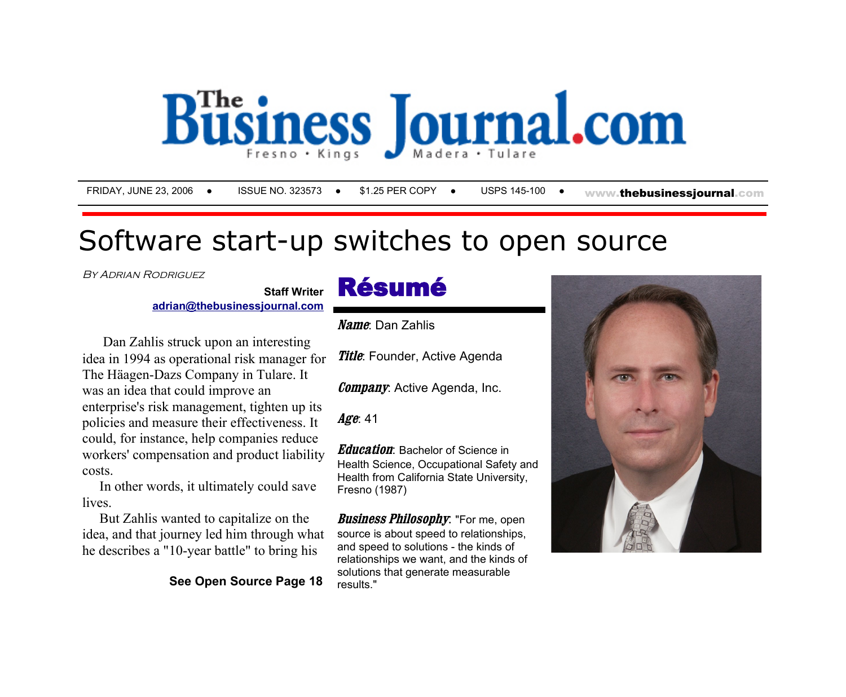

FRIDAY, JUNE 23, 2006 · ISSUE NO. 323573 · \$1.25 PER COPY · USPS 145-100 · www.thebusinessiournal.com

## Software start-up switches to open source

BY ADRIAN RODRIGUEZ

## **Staff Writer** Résumé

**[adrian@thebusinessjournal.com](mailto:adrian@thebusinessjournal.com?subject=June 23, 2006 Open Source Article)**

 Dan Zahlis struck upon an interesting idea in 1994 as operational risk manager for The Häagen-Dazs Company in Tulare. It was an idea that could improve an enterprise's risk management, tighten up its policies and measure their effectiveness. It could, for instance, help companies reduce workers' compensation and product liability costs.

 In other words, it ultimately could save **lives** 

 But Zahlis wanted to capitalize on the idea, and that journey led him through what he describes a "10-year battle" to bring his

**See Open Source Page 18** 

**Name**: Dan Zahlis

**Title**: Founder, Active Agenda

**Company**: Active Agenda, Inc.

**Age**: 41

**Education**: Bachelor of Science in Health Science, Occupational Safety and Health from California State University, Fresno (1987)

**Business Philosophy**: "For me, open source is about speed to relationships. and speed to solutions - the kinds of relationships we want, and the kinds of solutions that generate measurable results."